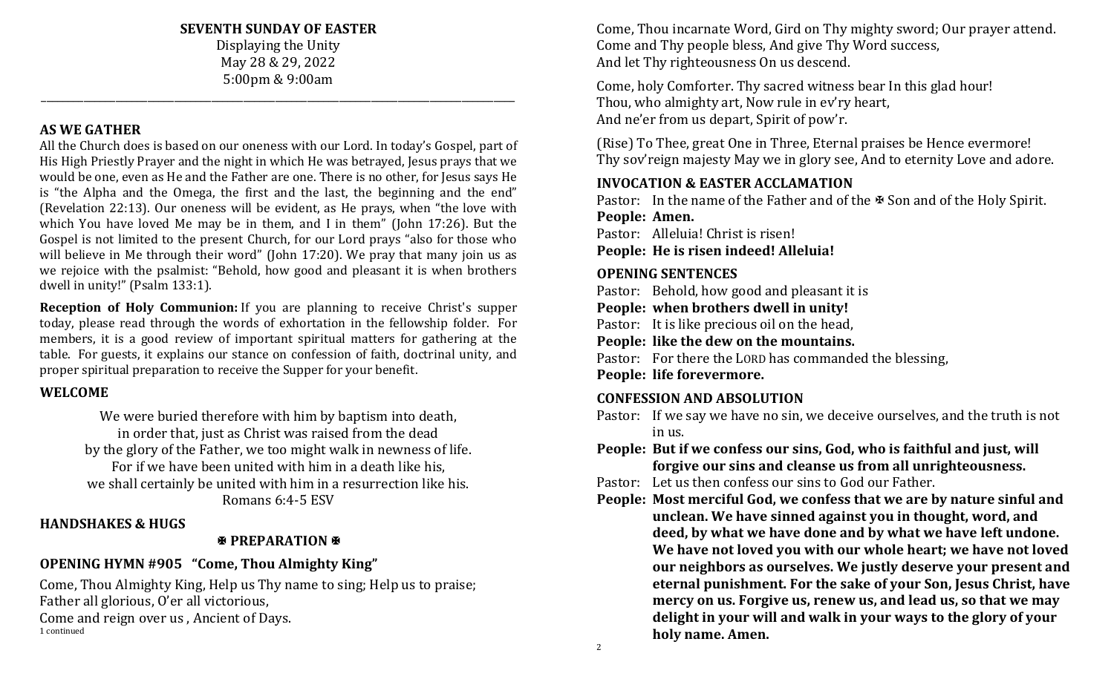**SEVENTH SUNDAY OF EASTER**

Displaying the Unity May 28 & 29, 2022 5:00pm & 9:00am

\_\_\_\_\_\_\_\_\_\_\_\_\_\_\_\_\_\_\_\_\_\_\_\_\_\_\_\_\_\_\_\_\_\_\_\_\_\_\_\_\_\_\_\_\_\_\_\_\_\_\_\_\_\_\_\_\_\_\_\_\_\_\_\_\_\_\_\_\_\_\_\_\_\_\_\_\_\_\_\_\_\_\_\_\_\_\_\_\_

#### **AS WE GATHER**

All the Church does is based on our oneness with our Lord. In today's Gospel, part of His High Priestly Prayer and the night in which He was betrayed, Jesus prays that we would be one, even as He and the Father are one. There is no other, for Jesus says He is "the Alpha and the Omega, the first and the last, the beginning and the end" (Revelation 22:13). Our oneness will be evident, as He prays, when "the love with which You have loved Me may be in them, and I in them" (John 17:26). But the Gospel is not limited to the present Church, for our Lord prays "also for those who will believe in Me through their word" (John 17:20). We pray that many join us as we rejoice with the psalmist: "Behold, how good and pleasant it is when brothers dwell in unity!" (Psalm 133:1).

**Reception of Holy Communion:** If you are planning to receive Christ's supper today, please read through the words of exhortation in the fellowship folder. For members, it is a good review of important spiritual matters for gathering at the table. For guests, it explains our stance on confession of faith, doctrinal unity, and proper spiritual preparation to receive the Supper for your benefit.

#### **WELCOME**

We were buried therefore with him by baptism into death, in order that, just as Christ was raised from the dead by the glory of the Father, we too might walk in newness of life. For if we have been united with him in a death like his, we shall certainly be united with him in a resurrection like his. Romans 6:4-5 ESV

#### **HANDSHAKES & HUGS**

## **PREPARATION**

# **OPENING HYMN #905 "Come, Thou Almighty King"**

Come, Thou Almighty King, Help us Thy name to sing; Help us to praise; Father all glorious, O'er all victorious, Come and reign over us , Ancient of Days. 1 continued

Come, Thou incarnate Word, Gird on Thy mighty sword; Our prayer attend. Come and Thy people bless, And give Thy Word success, And let Thy righteousness On us descend.

Come, holy Comforter. Thy sacred witness bear In this glad hour! Thou, who almighty art, Now rule in ev'ry heart, And ne'er from us depart, Spirit of pow'r.

(Rise) To Thee, great One in Three, Eternal praises be Hence evermore! Thy sov'reign majesty May we in glory see, And to eternity Love and adore.

# **INVOCATION & EASTER ACCLAMATION**

Pastor: In the name of the Father and of the  $\mathcal B$  Son and of the Holy Spirit. **People: Amen.**

Pastor: Alleluia! Christ is risen!

**People: He is risen indeed! Alleluia!**

#### **OPENING SENTENCES**

Pastor: Behold, how good and pleasant it is

**People: when brothers dwell in unity!**

Pastor: It is like precious oil on the head,

**People: like the dew on the mountains.**

Pastor: For there the LORD has commanded the blessing,

**People: life forevermore.**

# **CONFESSION AND ABSOLUTION**

Pastor: If we say we have no sin, we deceive ourselves, and the truth is not in us.

**People: But if we confess our sins, God, who is faithful and just, will forgive our sins and cleanse us from all unrighteousness.**

Pastor: Let us then confess our sins to God our Father.

**People: Most merciful God, we confess that we are by nature sinful and unclean. We have sinned against you in thought, word, and deed, by what we have done and by what we have left undone. We have not loved you with our whole heart; we have not loved our neighbors as ourselves. We justly deserve your present and eternal punishment. For the sake of your Son, Jesus Christ, have mercy on us. Forgive us, renew us, and lead us, so that we may delight in your will and walk in your ways to the glory of your holy name. Amen.**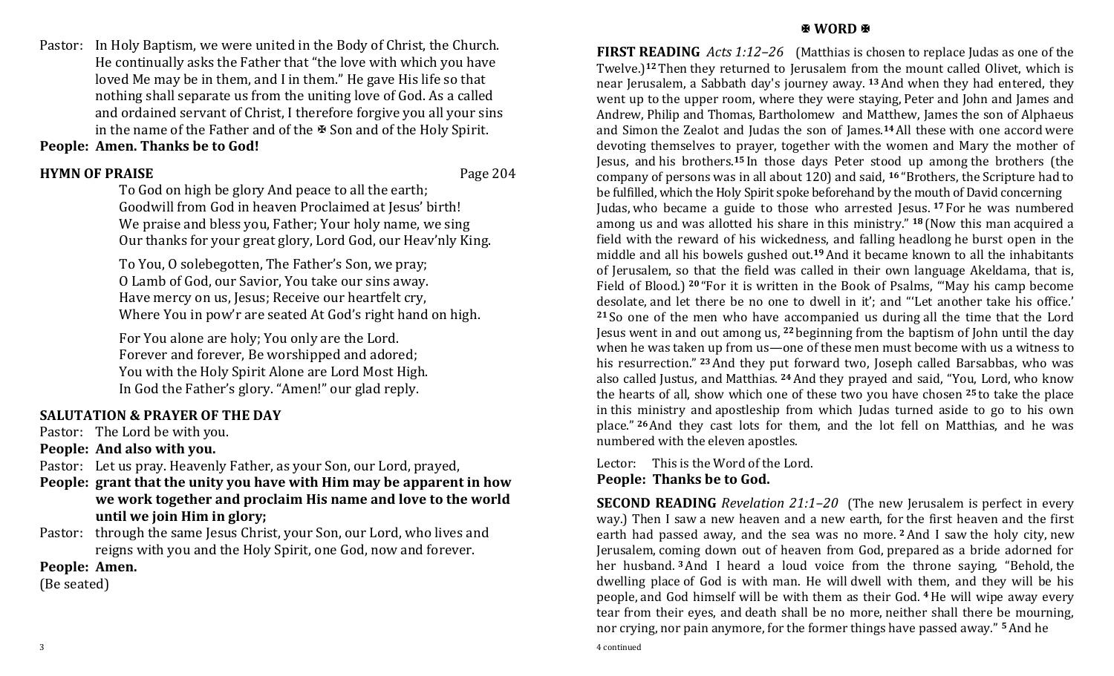Pastor: In Holy Baptism, we were united in the Body of Christ, the Church. He continually asks the Father that "the love with which you have loved Me may be in them, and I in them." He gave His life so that nothing shall separate us from the uniting love of God. As a called and ordained servant of Christ, I therefore forgive you all your sins in the name of the Father and of the  $\mathbb F$  Son and of the Holy Spirit. **People: Amen. Thanks be to God!**

# **HYMN OF PRAISE** Page 204

To God on high be glory And peace to all the earth; Goodwill from God in heaven Proclaimed at Jesus' birth! We praise and bless you, Father; Your holy name, we sing Our thanks for your great glory, Lord God, our Heav'nly King.

To You, O solebegotten, The Father's Son, we pray; O Lamb of God, our Savior, You take our sins away. Have mercy on us, Jesus; Receive our heartfelt cry, Where You in pow'r are seated At God's right hand on high.

For You alone are holy; You only are the Lord. Forever and forever, Be worshipped and adored; You with the Holy Spirit Alone are Lord Most High. In God the Father's glory. "Amen!" our glad reply.

#### **SALUTATION & PRAYER OF THE DAY**

Pastor: The Lord be with you.

**People: And also with you.**

Pastor: Let us pray. Heavenly Father, as your Son, our Lord, prayed,

- **People: grant that the unity you have with Him may be apparent in how we work together and proclaim His name and love to the world until we join Him in glory;**
- Pastor: through the same Jesus Christ, your Son, our Lord, who lives and reigns with you and the Holy Spirit, one God, now and forever.

**People: Amen.**

(Be seated)

#### **图 WORD 图**

**FIRST READING** *Acts 1:12–26* (Matthias is chosen to replace Judas as one of the Twelve.)**<sup>12</sup>** Then they returned to Jerusalem from the mount called Olivet, which is near Jerusalem, a Sabbath day's journey away. **<sup>13</sup>**And when they had entered, they went up to the upper room, where they were staying, Peter and John and James and Andrew, Philip and Thomas, Bartholomew and Matthew, James the son of Alphaeus and Simon the Zealot and Judas the son of James.**14**All these with one accord were devoting themselves to prayer, together with the women and Mary the mother of Jesus, and his brothers.**<sup>15</sup>** In those days Peter stood up among the brothers (the company of persons was in all about 120) and said, **<sup>16</sup>** "Brothers, the Scripture had to be fulfilled, which the Holy Spirit spoke beforehand by the mouth of David concerning Judas, who became a guide to those who arrested Jesus. **<sup>17</sup>** For he was numbered among us and was allotted his share in this ministry." **<sup>18</sup>** (Now this man acquired a field with the reward of his wickedness, and falling headlong he burst open in the middle and all his bowels gushed out.**19**And it became known to all the inhabitants of Jerusalem, so that the field was called in their own language Akeldama, that is, Field of Blood.) **<sup>20</sup>** "For it is written in the Book of Psalms, "'May his camp become desolate, and let there be no one to dwell in it'; and "'Let another take his office.' **<sup>21</sup>** So one of the men who have accompanied us during all the time that the Lord Jesus went in and out among us, **<sup>22</sup>** beginning from the baptism of John until the day when he was taken up from us—one of these men must become with us a witness to his resurrection." **<sup>23</sup>**And they put forward two, Joseph called Barsabbas, who was also called Justus, and Matthias. **<sup>24</sup>**And they prayed and said, "You, Lord, who know the hearts of all, show which one of these two you have chosen **<sup>25</sup>** to take the place in this ministry and apostleship from which Judas turned aside to go to his own place." **<sup>26</sup>**And they cast lots for them, and the lot fell on Matthias, and he was numbered with the eleven apostles.

Lector: This is the Word of the Lord. **People: Thanks be to God.**

**SECOND READING** *Revelation 21:1–20* (The new Jerusalem is perfect in every way.) Then I saw a new heaven and a new earth, for the first heaven and the first earth had passed away, and the sea was no more. **<sup>2</sup>**And I saw the holy city, new Jerusalem, coming down out of heaven from God, prepared as a bride adorned for her husband. **<sup>3</sup>**And I heard a loud voice from the throne saying, "Behold, the dwelling place of God is with man. He will dwell with them, and they will be his people, and God himself will be with them as their God. **<sup>4</sup>**He will wipe away every tear from their eyes, and death shall be no more, neither shall there be mourning, nor crying, nor pain anymore, for the former things have passed away." **5**And he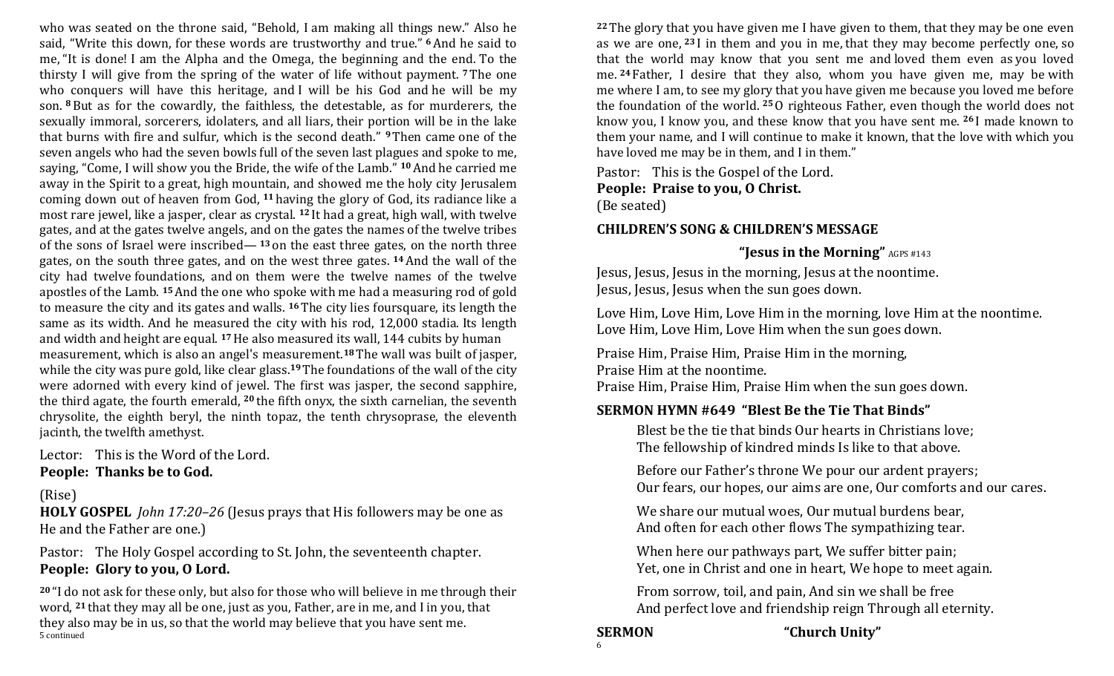who was seated on the throne said, "Behold, I am making all things new." Also he said, "Write this down, for these words are trustworthy and true." **<sup>6</sup>**And he said to me, "It is done! I am the Alpha and the Omega, the beginning and the end. To the thirsty I will give from the spring of the water of life without payment. **<sup>7</sup>** The one who conquers will have this heritage, and I will be his God and he will be my son. **<sup>8</sup>** But as for the cowardly, the faithless, the detestable, as for murderers, the sexually immoral, sorcerers, idolaters, and all liars, their portion will be in the lake that burns with fire and sulfur, which is the second death." **9**Then came one of the seven angels who had the seven bowls full of the seven last plagues and spoke to me, saying, "Come, I will show you the Bride, the wife of the Lamb." **<sup>10</sup>**And he carried me away in the Spirit to a great, high mountain, and showed me the holy city Jerusalem coming down out of heaven from God, **<sup>11</sup>** having the glory of God, its radiance like a most rare jewel, like a jasper, clear as crystal. **<sup>12</sup>** It had a great, high wall, with twelve gates, and at the gates twelve angels, and on the gates the names of the twelve tribes of the sons of Israel were inscribed— **<sup>13</sup>** on the east three gates, on the north three gates, on the south three gates, and on the west three gates. **<sup>14</sup>**And the wall of the city had twelve foundations, and on them were the twelve names of the twelve apostles of the Lamb. **15**And the one who spoke with me had a measuring rod of gold to measure the city and its gates and walls. **<sup>16</sup>** The city lies foursquare, its length the same as its width. And he measured the city with his rod, 12,000 stadia. Its length and width and height are equal. **<sup>17</sup>**He also measured its wall, 144 cubits by human measurement, which is also an angel's measurement.**<sup>18</sup>** The wall was built of jasper, while the city was pure gold, like clear glass.**19**The foundations of the wall of the city were adorned with every kind of jewel. The first was jasper, the second sapphire, the third agate, the fourth emerald, **<sup>20</sup>** the fifth onyx, the sixth carnelian, the seventh chrysolite, the eighth beryl, the ninth topaz, the tenth chrysoprase, the eleventh jacinth, the twelfth amethyst.

Lector: This is the Word of the Lord. **People: Thanks be to God.**

#### (Rise)

**HOLY GOSPEL** *John 17:20–26* (Jesus prays that His followers may be one as He and the Father are one.)

Pastor: The Holy Gospel according to St. John, the seventeenth chapter. **People: Glory to you, O Lord.**

**<sup>20</sup>** "I do not ask for these only, but also for those who will believe in me through their word, **<sup>21</sup>** that they may all be one, just as you, Father, are in me, and I in you, that they also may be in us, so that the world may believe that you have sent me. 5 continued

**<sup>22</sup>** The glory that you have given me I have given to them, that they may be one even as we are one, **<sup>23</sup>** I in them and you in me, that they may become perfectly one, so that the world may know that you sent me and loved them even as you loved me. **<sup>24</sup>** Father, I desire that they also, whom you have given me, may be with me where I am, to see my glory that you have given me because you loved me before the foundation of the world. **<sup>25</sup>**O righteous Father, even though the world does not know you, I know you, and these know that you have sent me. **<sup>26</sup>** I made known to them your name, and I will continue to make it known, that the love with which you have loved me may be in them, and I in them."

Pastor: This is the Gospel of the Lord.

#### **People: Praise to you, O Christ.**

(Be seated)

#### **CHILDREN'S SONG & CHILDREN'S MESSAGE**

#### **"Jesus in the Morning"** AGPS #143

Jesus, Jesus, Jesus in the morning, Jesus at the noontime. Jesus, Jesus, Jesus when the sun goes down.

Love Him, Love Him, Love Him in the morning, love Him at the noontime. Love Him, Love Him, Love Him when the sun goes down.

Praise Him, Praise Him, Praise Him in the morning, Praise Him at the noontime.

Praise Him, Praise Him, Praise Him when the sun goes down.

#### **SERMON HYMN #649 "Blest Be the Tie That Binds"**

Blest be the tie that binds Our hearts in Christians love; The fellowship of kindred minds Is like to that above.

Before our Father's throne We pour our ardent prayers; Our fears, our hopes, our aims are one, Our comforts and our cares.

We share our mutual woes, Our mutual burdens bear, And often for each other flows The sympathizing tear.

When here our pathways part, We suffer bitter pain; Yet, one in Christ and one in heart, We hope to meet again.

From sorrow, toil, and pain, And sin we shall be free And perfect love and friendship reign Through all eternity.

# 6

**SERMON "Church Unity"**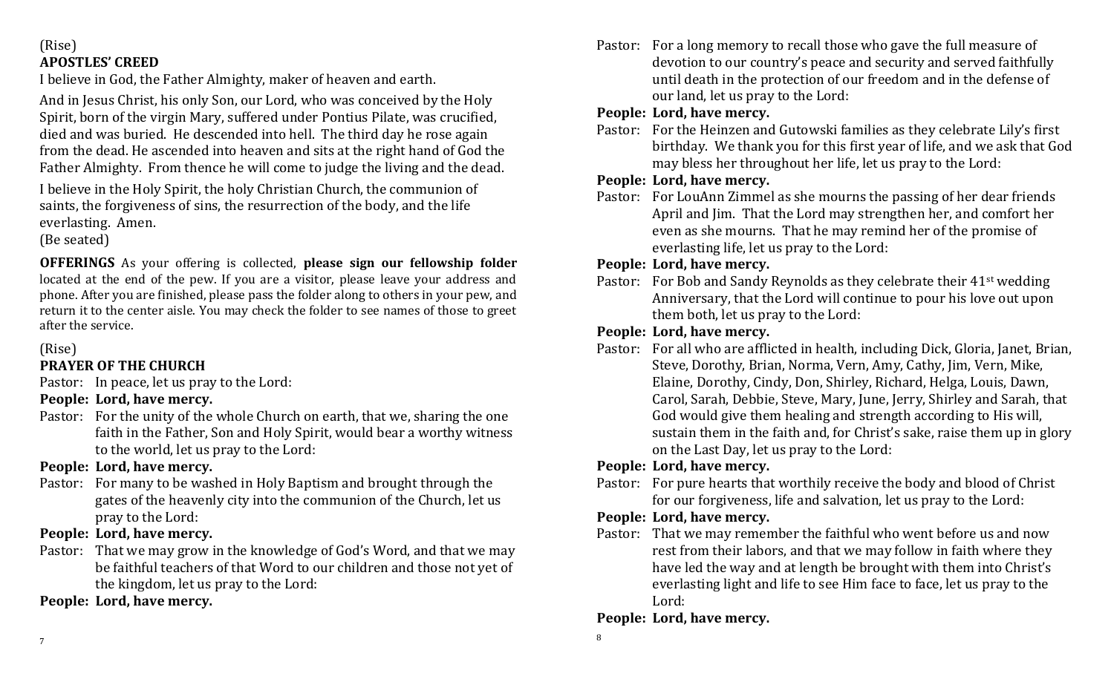## (Rise) **APOSTLES' CREED**

I believe in God, the Father Almighty, maker of heaven and earth.

And in Jesus Christ, his only Son, our Lord, who was conceived by the Holy Spirit, born of the virgin Mary, suffered under Pontius Pilate, was crucified, died and was buried. He descended into hell. The third day he rose again from the dead. He ascended into heaven and sits at the right hand of God the Father Almighty. From thence he will come to judge the living and the dead.

I believe in the Holy Spirit, the holy Christian Church, the communion of saints, the forgiveness of sins, the resurrection of the body, and the life everlasting. Amen.

(Be seated)

**OFFERINGS** As your offering is collected, **please sign our fellowship folder** located at the end of the pew. If you are a visitor, please leave your address and phone. After you are finished, please pass the folder along to others in your pew, and return it to the center aisle. You may check the folder to see names of those to greet after the service.

# (Rise)

## **PRAYER OF THE CHURCH**

Pastor: In peace, let us pray to the Lord:

- **People: Lord, have mercy.**
- Pastor: For the unity of the whole Church on earth, that we, sharing the one faith in the Father, Son and Holy Spirit, would bear a worthy witness to the world, let us pray to the Lord:

# **People: Lord, have mercy.**

Pastor: For many to be washed in Holy Baptism and brought through the gates of the heavenly city into the communion of the Church, let us pray to the Lord:

# **People: Lord, have mercy.**

Pastor: That we may grow in the knowledge of God's Word, and that we may be faithful teachers of that Word to our children and those not yet of the kingdom, let us pray to the Lord:

**People: Lord, have mercy.**

Pastor: For a long memory to recall those who gave the full measure of devotion to our country's peace and security and served faithfully until death in the protection of our freedom and in the defense of our land, let us pray to the Lord:

# **People: Lord, have mercy.**

Pastor: For the Heinzen and Gutowski families as they celebrate Lily's first birthday. We thank you for this first year of life, and we ask that God may bless her throughout her life, let us pray to the Lord:

# **People: Lord, have mercy.**

Pastor: For LouAnn Zimmel as she mourns the passing of her dear friends April and Jim. That the Lord may strengthen her, and comfort her even as she mourns. That he may remind her of the promise of everlasting life, let us pray to the Lord:

# **People: Lord, have mercy.**

Pastor: For Bob and Sandy Reynolds as they celebrate their 41<sup>st</sup> wedding Anniversary, that the Lord will continue to pour his love out upon them both, let us pray to the Lord:

# **People: Lord, have mercy.**

Pastor: For all who are afflicted in health, including Dick, Gloria, Janet, Brian, Steve, Dorothy, Brian, Norma, Vern, Amy, Cathy, Jim, Vern, Mike, Elaine, Dorothy, Cindy, Don, Shirley, Richard, Helga, Louis, Dawn, Carol, Sarah, Debbie, Steve, Mary, June, Jerry, Shirley and Sarah, that God would give them healing and strength according to His will, sustain them in the faith and, for Christ's sake, raise them up in glory on the Last Day, let us pray to the Lord:

# **People: Lord, have mercy.**

Pastor: For pure hearts that worthily receive the body and blood of Christ for our forgiveness, life and salvation, let us pray to the Lord:

# **People: Lord, have mercy.**

Pastor: That we may remember the faithful who went before us and now rest from their labors, and that we may follow in faith where they have led the way and at length be brought with them into Christ's everlasting light and life to see Him face to face, let us pray to the Lord:

# **People: Lord, have mercy.**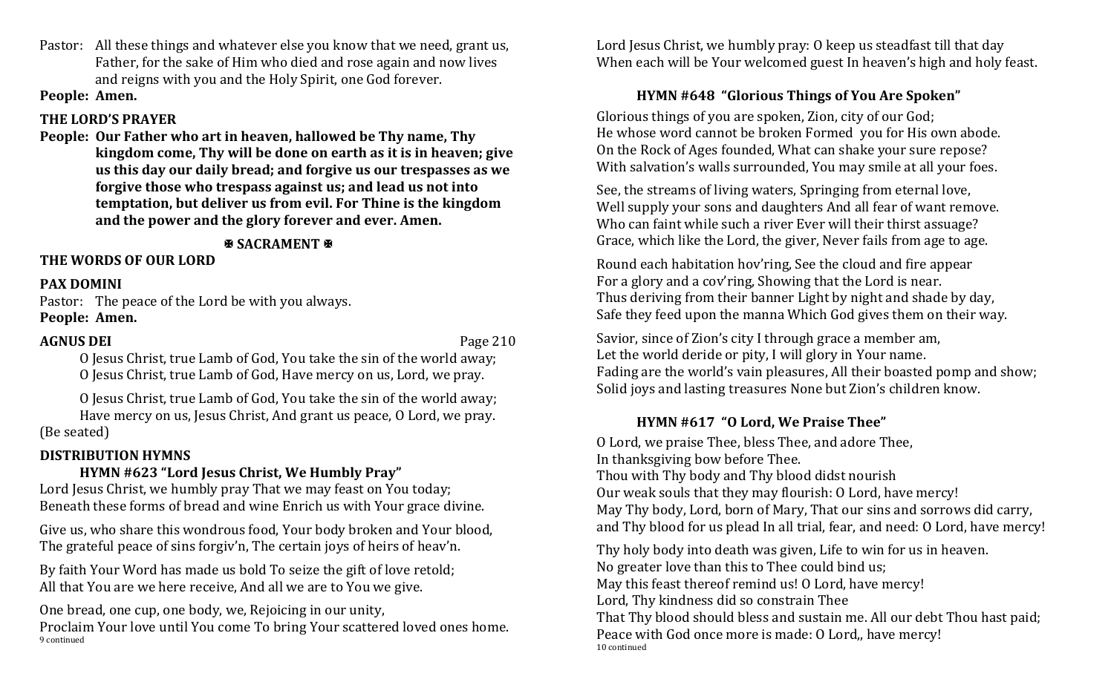Pastor: All these things and whatever else you know that we need, grant us, Father, for the sake of Him who died and rose again and now lives and reigns with you and the Holy Spirit, one God forever.

**People: Amen.**

#### **THE LORD'S PRAYER**

**People: Our Father who art in heaven, hallowed be Thy name, Thy kingdom come, Thy will be done on earth as it is in heaven; give us this day our daily bread; and forgive us our trespasses as we forgive those who trespass against us; and lead us not into temptation, but deliver us from evil. For Thine is the kingdom and the power and the glory forever and ever. Amen.**

## **SACRAMENT &**

#### **THE WORDS OF OUR LORD**

#### **PAX DOMINI**

Pastor: The peace of the Lord be with you always.

# **People: Amen.**

#### **AGNUS DEI** Page 210

O Jesus Christ, true Lamb of God, You take the sin of the world away; O Jesus Christ, true Lamb of God, Have mercy on us, Lord, we pray.

O Jesus Christ, true Lamb of God, You take the sin of the world away; Have mercy on us, Jesus Christ, And grant us peace, O Lord, we pray. (Be seated)

## **DISTRIBUTION HYMNS**

# **HYMN #623 "Lord Jesus Christ, We Humbly Pray"**

Lord Jesus Christ, we humbly pray That we may feast on You today; Beneath these forms of bread and wine Enrich us with Your grace divine.

Give us, who share this wondrous food, Your body broken and Your blood, The grateful peace of sins forgiv'n, The certain joys of heirs of heav'n.

By faith Your Word has made us bold To seize the gift of love retold; All that You are we here receive, And all we are to You we give.

One bread, one cup, one body, we, Rejoicing in our unity, Proclaim Your love until You come To bring Your scattered loved ones home. 9 continued

Lord Jesus Christ, we humbly pray: O keep us steadfast till that day When each will be Your welcomed guest In heaven's high and holy feast.

## **HYMN #648 "Glorious Things of You Are Spoken"**

Glorious things of you are spoken, Zion, city of our God; He whose word cannot be broken Formed you for His own abode. On the Rock of Ages founded, What can shake your sure repose? With salvation's walls surrounded, You may smile at all your foes.

See, the streams of living waters, Springing from eternal love, Well supply your sons and daughters And all fear of want remove. Who can faint while such a river Ever will their thirst assuage? Grace, which like the Lord, the giver, Never fails from age to age.

Round each habitation hov'ring, See the cloud and fire appear For a glory and a cov'ring, Showing that the Lord is near. Thus deriving from their banner Light by night and shade by day, Safe they feed upon the manna Which God gives them on their way.

Savior, since of Zion's city I through grace a member am, Let the world deride or pity, I will glory in Your name. Fading are the world's vain pleasures, All their boasted pomp and show; Solid joys and lasting treasures None but Zion's children know.

## **HYMN #617 "O Lord, We Praise Thee"**

O Lord, we praise Thee, bless Thee, and adore Thee, In thanksgiving bow before Thee. Thou with Thy body and Thy blood didst nourish Our weak souls that they may flourish: O Lord, have mercy! May Thy body, Lord, born of Mary, That our sins and sorrows did carry, and Thy blood for us plead In all trial, fear, and need: O Lord, have mercy!

Thy holy body into death was given, Life to win for us in heaven. No greater love than this to Thee could bind us; May this feast thereof remind us! O Lord, have mercy! Lord, Thy kindness did so constrain Thee That Thy blood should bless and sustain me. All our debt Thou hast paid; Peace with God once more is made: O Lord,, have mercy! 10 continued